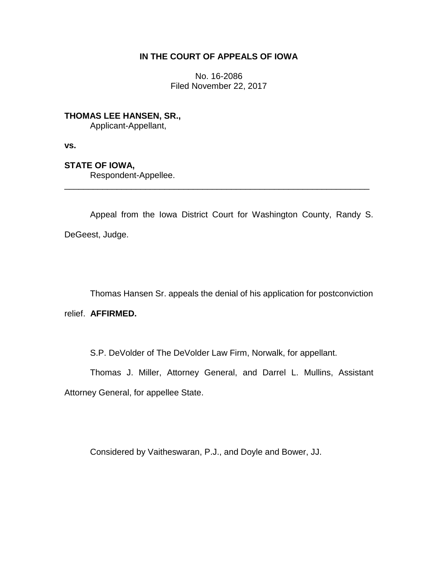# **IN THE COURT OF APPEALS OF IOWA**

No. 16-2086 Filed November 22, 2017

**THOMAS LEE HANSEN, SR.,** Applicant-Appellant,

**vs.**

**STATE OF IOWA,**

Respondent-Appellee.

Appeal from the Iowa District Court for Washington County, Randy S. DeGeest, Judge.

\_\_\_\_\_\_\_\_\_\_\_\_\_\_\_\_\_\_\_\_\_\_\_\_\_\_\_\_\_\_\_\_\_\_\_\_\_\_\_\_\_\_\_\_\_\_\_\_\_\_\_\_\_\_\_\_\_\_\_\_\_\_\_\_

Thomas Hansen Sr. appeals the denial of his application for postconviction relief. **AFFIRMED.**

S.P. DeVolder of The DeVolder Law Firm, Norwalk, for appellant.

Thomas J. Miller, Attorney General, and Darrel L. Mullins, Assistant Attorney General, for appellee State.

Considered by Vaitheswaran, P.J., and Doyle and Bower, JJ.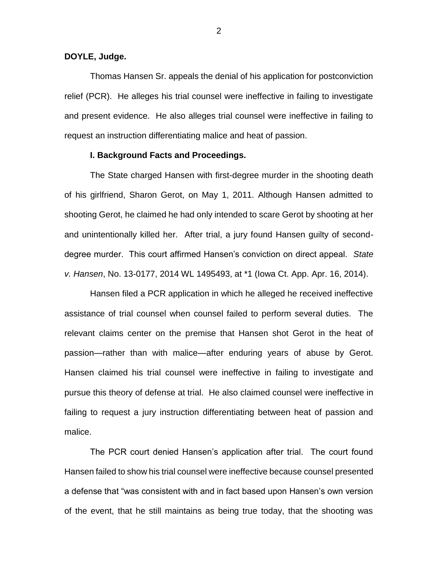## **DOYLE, Judge.**

Thomas Hansen Sr. appeals the denial of his application for postconviction relief (PCR). He alleges his trial counsel were ineffective in failing to investigate and present evidence. He also alleges trial counsel were ineffective in failing to request an instruction differentiating malice and heat of passion.

## **I. Background Facts and Proceedings.**

The State charged Hansen with first-degree murder in the shooting death of his girlfriend, Sharon Gerot, on May 1, 2011. Although Hansen admitted to shooting Gerot, he claimed he had only intended to scare Gerot by shooting at her and unintentionally killed her. After trial, a jury found Hansen guilty of seconddegree murder. This court affirmed Hansen's conviction on direct appeal. *State v. Hansen*, No. 13-0177, 2014 WL 1495493, at \*1 (Iowa Ct. App. Apr. 16, 2014).

Hansen filed a PCR application in which he alleged he received ineffective assistance of trial counsel when counsel failed to perform several duties. The relevant claims center on the premise that Hansen shot Gerot in the heat of passion—rather than with malice—after enduring years of abuse by Gerot. Hansen claimed his trial counsel were ineffective in failing to investigate and pursue this theory of defense at trial. He also claimed counsel were ineffective in failing to request a jury instruction differentiating between heat of passion and malice.

The PCR court denied Hansen's application after trial. The court found Hansen failed to show his trial counsel were ineffective because counsel presented a defense that "was consistent with and in fact based upon Hansen's own version of the event, that he still maintains as being true today, that the shooting was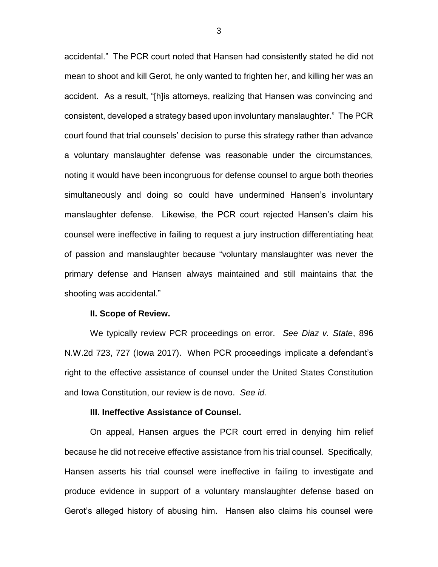accidental." The PCR court noted that Hansen had consistently stated he did not mean to shoot and kill Gerot, he only wanted to frighten her, and killing her was an accident. As a result, "[h]is attorneys, realizing that Hansen was convincing and consistent, developed a strategy based upon involuntary manslaughter." The PCR court found that trial counsels' decision to purse this strategy rather than advance a voluntary manslaughter defense was reasonable under the circumstances, noting it would have been incongruous for defense counsel to argue both theories simultaneously and doing so could have undermined Hansen's involuntary manslaughter defense. Likewise, the PCR court rejected Hansen's claim his counsel were ineffective in failing to request a jury instruction differentiating heat of passion and manslaughter because "voluntary manslaughter was never the primary defense and Hansen always maintained and still maintains that the shooting was accidental."

## **II. Scope of Review.**

We typically review PCR proceedings on error. *See Diaz v. State*, 896 N.W.2d 723, 727 (Iowa 2017). When PCR proceedings implicate a defendant's right to the effective assistance of counsel under the United States Constitution and Iowa Constitution, our review is de novo. *See id.*

#### **III. Ineffective Assistance of Counsel.**

On appeal, Hansen argues the PCR court erred in denying him relief because he did not receive effective assistance from his trial counsel. Specifically, Hansen asserts his trial counsel were ineffective in failing to investigate and produce evidence in support of a voluntary manslaughter defense based on Gerot's alleged history of abusing him. Hansen also claims his counsel were

3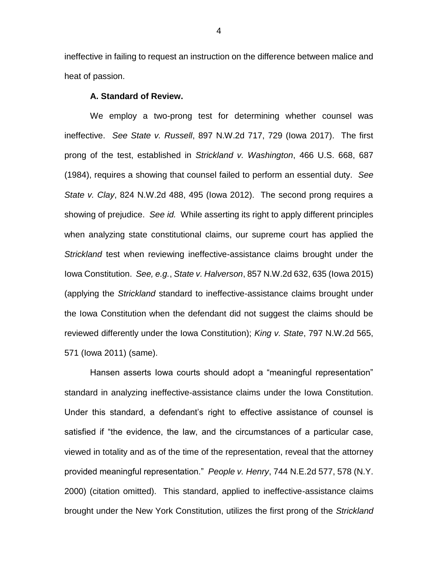ineffective in failing to request an instruction on the difference between malice and heat of passion.

## **A. Standard of Review.**

We employ a two-prong test for determining whether counsel was ineffective. *See State v. Russell*, 897 N.W.2d 717, 729 (Iowa 2017). The first prong of the test, established in *Strickland v. Washington*, 466 U.S. 668, 687 (1984), requires a showing that counsel failed to perform an essential duty. *See State v. Clay*, 824 N.W.2d 488, 495 (Iowa 2012). The second prong requires a showing of prejudice. *See id.* While asserting its right to apply different principles when analyzing state constitutional claims, our supreme court has applied the *Strickland* test when reviewing ineffective-assistance claims brought under the Iowa Constitution. *See, e.g.*, *State v. Halverson*, 857 N.W.2d 632, 635 (Iowa 2015) (applying the *Strickland* standard to ineffective-assistance claims brought under the Iowa Constitution when the defendant did not suggest the claims should be reviewed differently under the Iowa Constitution); *King v. State*, 797 N.W.2d 565, 571 (Iowa 2011) (same).

Hansen asserts Iowa courts should adopt a "meaningful representation" standard in analyzing ineffective-assistance claims under the Iowa Constitution. Under this standard, a defendant's right to effective assistance of counsel is satisfied if "the evidence, the law, and the circumstances of a particular case, viewed in totality and as of the time of the representation, reveal that the attorney provided meaningful representation." *People v. Henry*, 744 N.E.2d 577, 578 (N.Y. 2000) (citation omitted). This standard, applied to ineffective-assistance claims brought under the New York Constitution, utilizes the first prong of the *Strickland*

4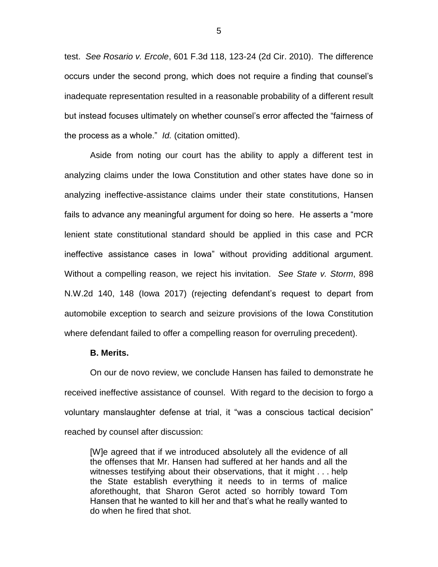test. *See Rosario v. Ercole*, 601 F.3d 118, 123-24 (2d Cir. 2010). The difference occurs under the second prong, which does not require a finding that counsel's inadequate representation resulted in a reasonable probability of a different result but instead focuses ultimately on whether counsel's error affected the "fairness of the process as a whole." *Id.* (citation omitted).

Aside from noting our court has the ability to apply a different test in analyzing claims under the Iowa Constitution and other states have done so in analyzing ineffective-assistance claims under their state constitutions, Hansen fails to advance any meaningful argument for doing so here. He asserts a "more lenient state constitutional standard should be applied in this case and PCR ineffective assistance cases in Iowa" without providing additional argument. Without a compelling reason, we reject his invitation. *See State v. Storm*, 898 N.W.2d 140, 148 (Iowa 2017) (rejecting defendant's request to depart from automobile exception to search and seizure provisions of the Iowa Constitution where defendant failed to offer a compelling reason for overruling precedent).

## **B. Merits.**

On our de novo review, we conclude Hansen has failed to demonstrate he received ineffective assistance of counsel. With regard to the decision to forgo a voluntary manslaughter defense at trial, it "was a conscious tactical decision" reached by counsel after discussion:

[W]e agreed that if we introduced absolutely all the evidence of all the offenses that Mr. Hansen had suffered at her hands and all the witnesses testifying about their observations, that it might . . . help the State establish everything it needs to in terms of malice aforethought, that Sharon Gerot acted so horribly toward Tom Hansen that he wanted to kill her and that's what he really wanted to do when he fired that shot.

5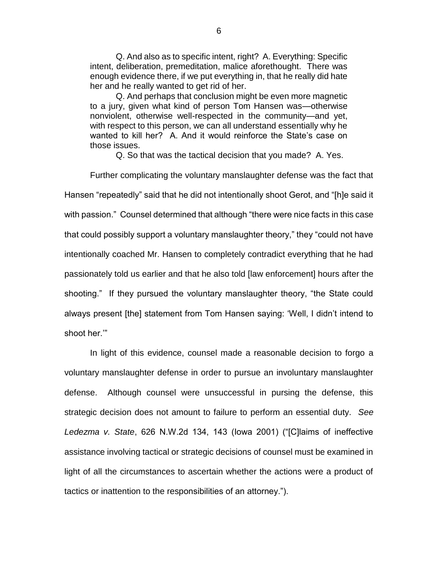Q. And also as to specific intent, right? A. Everything: Specific intent, deliberation, premeditation, malice aforethought. There was enough evidence there, if we put everything in, that he really did hate her and he really wanted to get rid of her.

Q. And perhaps that conclusion might be even more magnetic to a jury, given what kind of person Tom Hansen was—otherwise nonviolent, otherwise well-respected in the community—and yet, with respect to this person, we can all understand essentially why he wanted to kill her? A. And it would reinforce the State's case on those issues.

Q. So that was the tactical decision that you made? A. Yes.

Further complicating the voluntary manslaughter defense was the fact that Hansen "repeatedly" said that he did not intentionally shoot Gerot, and "[h]e said it with passion." Counsel determined that although "there were nice facts in this case that could possibly support a voluntary manslaughter theory," they "could not have intentionally coached Mr. Hansen to completely contradict everything that he had passionately told us earlier and that he also told [law enforcement] hours after the shooting." If they pursued the voluntary manslaughter theory, "the State could always present [the] statement from Tom Hansen saying: 'Well, I didn't intend to shoot her.'"

In light of this evidence, counsel made a reasonable decision to forgo a voluntary manslaughter defense in order to pursue an involuntary manslaughter defense. Although counsel were unsuccessful in pursing the defense, this strategic decision does not amount to failure to perform an essential duty. *See Ledezma v. State*, 626 N.W.2d 134, 143 (Iowa 2001) ("[C]laims of ineffective assistance involving tactical or strategic decisions of counsel must be examined in light of all the circumstances to ascertain whether the actions were a product of tactics or inattention to the responsibilities of an attorney.").